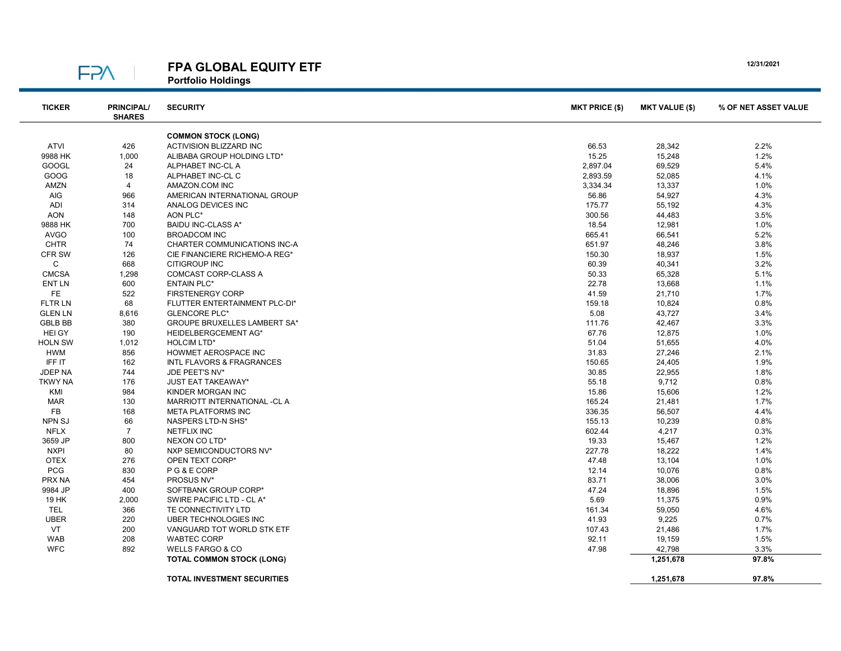| <b>STAR</b> | e en |  |
|-------------|------|--|

## FPA GLOBAL EQUITY ETF

Portfolio Holdings

| <b>TICKER</b>  | <b>PRINCIPAL/</b><br><b>SHARES</b> | <b>SECURITY</b>                                                 | <b>MKT PRICE (\$)</b> | <b>MKT VALUE (\$)</b> | % OF NET ASSET VALUE |
|----------------|------------------------------------|-----------------------------------------------------------------|-----------------------|-----------------------|----------------------|
|                |                                    | <b>COMMON STOCK (LONG)</b>                                      |                       |                       |                      |
| ATVI           | 426                                | <b>ACTIVISION BLIZZARD INC</b>                                  | 66.53                 | 28,342                | 2.2%                 |
| 9988 HK        | 1,000                              | ALIBABA GROUP HOLDING LTD*                                      | 15.25                 | 15,248                | 1.2%                 |
| <b>GOOGL</b>   | 24                                 | ALPHABET INC-CL A                                               | 2,897.04              | 69,529                | 5.4%                 |
| GOOG           | 18                                 | ALPHABET INC-CL C                                               | 2,893.59              | 52,085                | 4.1%                 |
| AMZN           | $\overline{4}$                     | AMAZON.COM INC                                                  | 3,334.34              | 13,337                | 1.0%                 |
| <b>AIG</b>     | 966                                | AMERICAN INTERNATIONAL GROUP                                    | 56.86                 | 54,927                | 4.3%                 |
| ADI            | 314                                | ANALOG DEVICES INC                                              | 175.77                | 55,192                | 4.3%                 |
| <b>AON</b>     | 148                                | AON PLC*                                                        | 300.56                | 44,483                | 3.5%                 |
| 9888 HK        | 700                                | <b>BAIDU INC-CLASS A*</b>                                       | 18.54                 | 12,981                | 1.0%                 |
| <b>AVGO</b>    | 100                                | <b>BROADCOM INC</b>                                             | 665.41                | 66,541                | 5.2%                 |
| <b>CHTR</b>    | 74                                 | <b>CHARTER COMMUNICATIONS INC-A</b>                             | 651.97                | 48,246                | 3.8%                 |
| <b>CFR SW</b>  | 126                                | CIE FINANCIERE RICHEMO-A REG*                                   | 150.30                | 18,937                | 1.5%                 |
| C              | 668                                | <b>CITIGROUP INC</b>                                            | 60.39                 | 40,341                | 3.2%                 |
| <b>CMCSA</b>   | 1,298                              | <b>COMCAST CORP-CLASS A</b>                                     | 50.33                 | 65,328                | 5.1%                 |
| <b>ENT LN</b>  | 600                                | <b>ENTAIN PLC*</b>                                              | 22.78                 | 13,668                | 1.1%                 |
| FE.            | 522                                | <b>FIRSTENERGY CORP</b>                                         | 41.59                 | 21,710                | 1.7%                 |
| <b>FLTRLN</b>  | 68                                 | FLUTTER ENTERTAINMENT PLC-DI*                                   | 159.18                | 10,824                | 0.8%                 |
| <b>GLEN LN</b> | 8,616                              | <b>GLENCORE PLC*</b>                                            | 5.08                  | 43,727                | 3.4%                 |
| <b>GBLB BB</b> | 380                                | GROUPE BRUXELLES LAMBERT SA*                                    | 111.76                | 42,467                | 3.3%                 |
| <b>HEIGY</b>   | 190                                | HEIDELBERGCEMENT AG*                                            | 67.76                 | 12,875                | 1.0%                 |
| <b>HOLN SW</b> | 1,012                              | <b>HOLCIM LTD*</b>                                              | 51.04                 | 51,655                | 4.0%                 |
| <b>HWM</b>     | 856                                | HOWMET AEROSPACE INC                                            | 31.83                 | 27,246                | 2.1%                 |
| IFF IT         | 162                                | <b>INTL FLAVORS &amp; FRAGRANCES</b>                            | 150.65                | 24,405                | 1.9%                 |
| <b>JDEP NA</b> | 744                                | JDE PEET'S NV*                                                  | 30.85                 | 22,955                | 1.8%                 |
| <b>TKWY NA</b> | 176                                | <b>JUST EAT TAKEAWAY*</b>                                       | 55.18                 | 9,712                 | 0.8%                 |
| KMI            | 984                                | KINDER MORGAN INC                                               | 15.86                 | 15,606                | 1.2%                 |
| <b>MAR</b>     | 130                                | MARRIOTT INTERNATIONAL -CL A                                    | 165.24                | 21,481                | 1.7%                 |
| FB             | 168                                | <b>META PLATFORMS INC</b>                                       | 336.35                | 56,507                | 4.4%                 |
| <b>NPN SJ</b>  | 66                                 | NASPERS LTD-N SHS*                                              | 155.13                | 10,239                | 0.8%                 |
| <b>NFLX</b>    | $\overline{7}$                     | <b>NETFLIX INC</b>                                              | 602.44                | 4,217                 | 0.3%                 |
| 3659 JP        | 800                                | NEXON CO LTD*                                                   | 19.33                 | 15,467                | 1.2%                 |
| <b>NXPI</b>    | 80                                 | NXP SEMICONDUCTORS NV*                                          | 227.78                | 18,222                | 1.4%                 |
| <b>OTEX</b>    | 276                                | OPEN TEXT CORP*                                                 | 47.48                 | 13,104                | 1.0%                 |
| <b>PCG</b>     | 830                                | PG&ECORP                                                        | 12.14                 | 10,076                | 0.8%                 |
| PRX NA         | 454                                | PROSUS NV*                                                      | 83.71                 | 38,006                | 3.0%                 |
| 9984 JP        | 400                                | SOFTBANK GROUP CORP*                                            | 47.24                 | 18,896                | 1.5%                 |
| 19 HK          | 2,000                              | SWIRE PACIFIC LTD - CL A*                                       | 5.69                  | 11,375                | 0.9%                 |
| <b>TEL</b>     | 366                                | TE CONNECTIVITY LTD                                             | 161.34                | 59,050                | 4.6%                 |
| <b>UBER</b>    | 220                                | <b>UBER TECHNOLOGIES INC</b>                                    | 41.93                 | 9,225                 | 0.7%                 |
| VT             | 200                                | VANGUARD TOT WORLD STK ETF                                      | 107.43                | 21,486                | 1.7%                 |
| <b>WAB</b>     | 208                                | <b>WABTEC CORP</b>                                              | 92.11                 | 19,159                | 1.5%                 |
| <b>WFC</b>     | 892                                | <b>WELLS FARGO &amp; CO</b><br><b>TOTAL COMMON STOCK (LONG)</b> | 47.98                 | 42,798<br>1,251,678   | 3.3%<br>97.8%        |
|                |                                    |                                                                 |                       |                       |                      |
|                |                                    | <b>TOTAL INVESTMENT SECURITIES</b>                              |                       | 1,251,678             | 97.8%                |